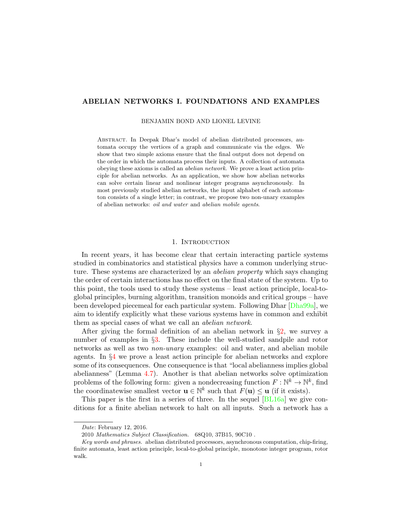# ABELIAN NETWORKS I. FOUNDATIONS AND EXAMPLES

#### BENJAMIN BOND AND LIONEL LEVINE

Abstract. In Deepak Dhar's model of abelian distributed processors, automata occupy the vertices of a graph and communicate via the edges. We show that two simple axioms ensure that the final output does not depend on the order in which the automata process their inputs. A collection of automata obeying these axioms is called an abelian network. We prove a least action principle for abelian networks. As an application, we show how abelian networks can solve certain linear and nonlinear integer programs asynchronously. In most previously studied abelian networks, the input alphabet of each automaton consists of a single letter; in contrast, we propose two non-unary examples of abelian networks: oil and water and abelian mobile agents.

### 1. INTRODUCTION

In recent years, it has become clear that certain interacting particle systems studied in combinatorics and statistical physics have a common underlying structure. These systems are characterized by an *abelian property* which says changing the order of certain interactions has no effect on the final state of the system. Up to this point, the tools used to study these systems – least action principle, local-toglobal principles, burning algorithm, transition monoids and critical groups – have been developed piecemeal for each particular system. Following Dhar [\[Dha99a\]](#page-19-0), we aim to identify explicitly what these various systems have in common and exhibit them as special cases of what we call an abelian network.

After giving the formal definition of an abelian network in  $\S$ [2,](#page-1-0) we survey a number of examples in §[3.](#page-3-0) These include the well-studied sandpile and rotor networks as well as two non-unary examples: oil and water, and abelian mobile agents. In §[4](#page-11-0) we prove a least action principle for abelian networks and explore some of its consequences. One consequence is that "local abelianness implies global abelianness" (Lemma [4.7\)](#page-15-0). Another is that abelian networks solve optimization problems of the following form: given a nondecreasing function  $F: \mathbb{N}^k \to \mathbb{N}^k$ , find the coordinatewise smallest vector  $\mathbf{u} \in \mathbb{N}^k$  such that  $F(\mathbf{u}) \leq \mathbf{u}$  (if it exists).

This paper is the first in a series of three. In the sequel [\[BL16a\]](#page-19-1) we give conditions for a finite abelian network to halt on all inputs. Such a network has a

Date: February 12, 2016.

<sup>2010</sup> Mathematics Subject Classification. 68Q10, 37B15, 90C10 .

Key words and phrases. abelian distributed processors, asynchronous computation, chip-firing, finite automata, least action principle, local-to-global principle, monotone integer program, rotor walk.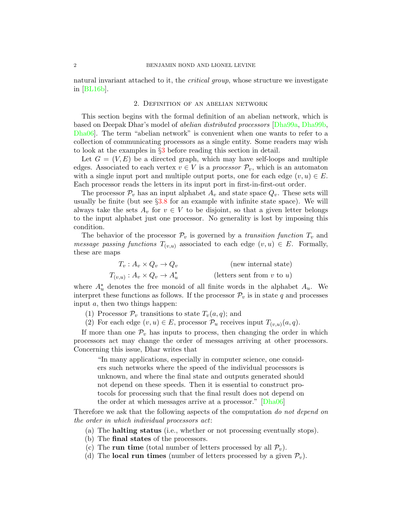natural invariant attached to it, the *critical group*, whose structure we investigate in [\[BL16b\]](#page-19-2).

### 2. Definition of an abelian network

<span id="page-1-0"></span>This section begins with the formal definition of an abelian network, which is based on Deepak Dhar's model of abelian distributed processors [\[Dha99a,](#page-19-0) [Dha99b,](#page-19-3) [Dha06\]](#page-19-4). The term "abelian network" is convenient when one wants to refer to a collection of communicating processors as a single entity. Some readers may wish to look at the examples in §[3](#page-3-0) before reading this section in detail.

Let  $G = (V, E)$  be a directed graph, which may have self-loops and multiple edges. Associated to each vertex  $v \in V$  is a *processor*  $\mathcal{P}_v$ , which is an automaton with a single input port and multiple output ports, one for each edge  $(v, u) \in E$ . Each processor reads the letters in its input port in first-in-first-out order.

The processor  $\mathcal{P}_v$  has an input alphabet  $A_v$  and state space  $Q_v$ . These sets will usually be finite (but see  $\S3.8$  $\S3.8$  for an example with infinite state space). We will always take the sets  $A_v$  for  $v \in V$  to be disjoint, so that a given letter belongs to the input alphabet just one processor. No generality is lost by imposing this condition.

The behavior of the processor  $\mathcal{P}_v$  is governed by a transition function  $T_v$  and *message passing functions*  $T_{(v,u)}$  associated to each edge  $(v, u) \in E$ . Formally, these are maps

| $T_v: A_v \times Q_v \to Q_v$         | (new internal state)            |
|---------------------------------------|---------------------------------|
| $T_{(v,u)}: A_v \times Q_v \to A_u^*$ | (letters sent from $v$ to $u$ ) |

where  $A_u^*$  denotes the free monoid of all finite words in the alphabet  $A_u$ . We interpret these functions as follows. If the processor  $\mathcal{P}_v$  is in state q and processes input a, then two things happen:

- (1) Processor  $\mathcal{P}_v$  transitions to state  $T_v(a,q)$ ; and
- (2) For each edge  $(v, u) \in E$ , processor  $\mathcal{P}_u$  receives input  $T_{(v, u)}(a, q)$ .

If more than one  $\mathcal{P}_v$  has inputs to process, then changing the order in which processors act may change the order of messages arriving at other processors. Concerning this issue, Dhar writes that

"In many applications, especially in computer science, one considers such networks where the speed of the individual processors is unknown, and where the final state and outputs generated should not depend on these speeds. Then it is essential to construct protocols for processing such that the final result does not depend on the order at which messages arrive at a processor." [\[Dha06\]](#page-19-4)

<span id="page-1-1"></span>Therefore we ask that the following aspects of the computation do not depend on the order in which individual processors act:

- (a) The halting status (i.e., whether or not processing eventually stops).
- (b) The final states of the processors.
- (c) The run time (total number of letters processed by all  $\mathcal{P}_v$ ).
- (d) The **local run times** (number of letters processed by a given  $\mathcal{P}_v$ ).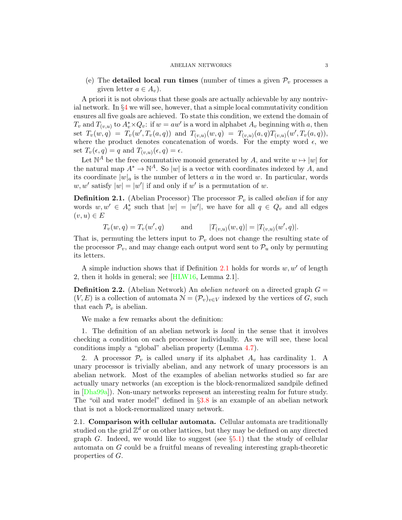(e) The **detailed local run times** (number of times a given  $\mathcal{P}_v$  processes a given letter  $a \in A_v$ ).

A priori it is not obvious that these goals are actually achievable by any nontrivial network. In §[4](#page-11-0) we will see, however, that a simple local commutativity condition ensures all five goals are achieved. To state this condition, we extend the domain of  $T_v$  and  $T_{(v,u)}$  to  $A_v^* \times Q_v$ : if  $w = aw'$  is a word in alphabet  $A_v$  beginning with a, then set  $T_v(w,q) = T_v(w', T_v(a,q))$  and  $T_{(v,u)}(w,q) = T_{(v,u)}(a,q)T_{(v,u)}(w', T_v(a,q)),$ where the product denotes concatenation of words. For the empty word  $\epsilon$ , we set  $T_v(\epsilon, q) = q$  and  $T_{(v,u)}(\epsilon, q) = \epsilon$ .

Let  $\mathbb{N}^A$  be the free commutative monoid generated by A, and write  $w \mapsto |w|$  for the natural map  $A^* \to \mathbb{N}^A$ . So |w| is a vector with coordinates indexed by A, and its coordinate  $|w|_a$  is the number of letters a in the word w. In particular, words  $w, w'$  satisfy  $|w| = |w'|$  if and only if w' is a permutation of w.

<span id="page-2-0"></span>**Definition 2.1.** (Abelian Processor) The processor  $\mathcal{P}_v$  is called *abelian* if for any words  $w, w' \in A_v^*$  such that  $|w| = |w'|$ , we have for all  $q \in Q_v$  and all edges  $(v, u) \in E$ 

$$
T_v(w, q) = T_v(w', q)
$$
 and  $|T_{(v,u)}(w, q)| = |T_{(v,u)}(w', q)|.$ 

That is, permuting the letters input to  $\mathcal{P}_v$  does not change the resulting state of the processor  $\mathcal{P}_v$ , and may change each output word sent to  $\mathcal{P}_u$  only by permuting its letters.

A simple induction shows that if Definition [2.1](#page-2-0) holds for words  $w, w'$  of length 2, then it holds in general; see [\[HLW16,](#page-20-0) Lemma 2.1].

**Definition 2.2.** (Abelian Network) An *abelian network* on a directed graph  $G =$  $(V, E)$  is a collection of automata  $\mathcal{N} = (\mathcal{P}_v)_{v \in V}$  indexed by the vertices of G, such that each  $\mathcal{P}_v$  is abelian.

We make a few remarks about the definition:

1. The definition of an abelian network is local in the sense that it involves checking a condition on each processor individually. As we will see, these local conditions imply a "global" abelian property (Lemma [4.7\)](#page-15-0).

2. A processor  $\mathcal{P}_v$  is called unary if its alphabet  $A_v$  has cardinality 1. A unary processor is trivially abelian, and any network of unary processors is an abelian network. Most of the examples of abelian networks studied so far are actually unary networks (an exception is the block-renormalized sandpile defined in [\[Dha99a\]](#page-19-0)). Non-unary networks represent an interesting realm for future study. The "oil and water model" defined in §[3.8](#page-9-0) is an example of an abelian network that is not a block-renormalized unary network.

<span id="page-2-1"></span>2.1. Comparison with cellular automata. Cellular automata are traditionally studied on the grid  $\mathbb{Z}^d$  or on other lattices, but they may be defined on any directed graph G. Indeed, we would like to suggest (see  $\S5.1$ ) that the study of cellular automata on G could be a fruitful means of revealing interesting graph-theoretic properties of G.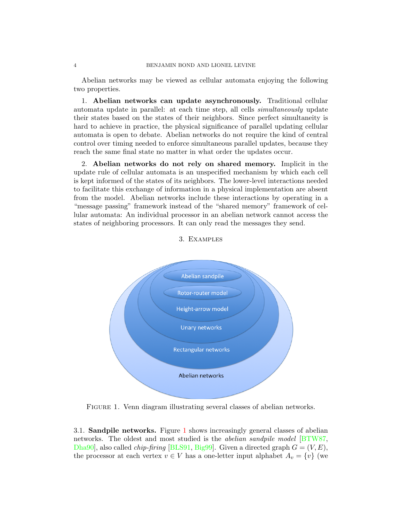Abelian networks may be viewed as cellular automata enjoying the following two properties.

1. Abelian networks can update asynchronously. Traditional cellular automata update in parallel: at each time step, all cells simultaneously update their states based on the states of their neighbors. Since perfect simultaneity is hard to achieve in practice, the physical significance of parallel updating cellular automata is open to debate. Abelian networks do not require the kind of central control over timing needed to enforce simultaneous parallel updates, because they reach the same final state no matter in what order the updates occur.

2. Abelian networks do not rely on shared memory. Implicit in the update rule of cellular automata is an unspecified mechanism by which each cell is kept informed of the states of its neighbors. The lower-level interactions needed to facilitate this exchange of information in a physical implementation are absent from the model. Abelian networks include these interactions by operating in a "message passing" framework instead of the "shared memory" framework of cellular automata: An individual processor in an abelian network cannot access the states of neighboring processors. It can only read the messages they send.

<span id="page-3-0"></span>

3. Examples

<span id="page-3-1"></span>FIGURE 1. Venn diagram illustrating several classes of abelian networks.

3.1. Sandpile networks. Figure [1](#page-3-1) shows increasingly general classes of abelian networks. The oldest and most studied is the abelian sandpile model [\[BTW87,](#page-18-0) [Dha90\]](#page-19-5), also called *chip-firing* [\[BLS91,](#page-19-6) [Big99\]](#page-18-1). Given a directed graph  $G = (V, E)$ , the processor at each vertex  $v \in V$  has a one-letter input alphabet  $A_v = \{v\}$  (we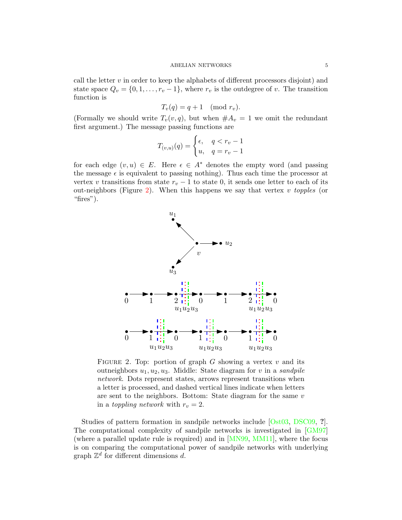call the letter  $v$  in order to keep the alphabets of different processors disjoint) and state space  $Q_v = \{0, 1, \ldots, r_v - 1\}$ , where  $r_v$  is the outdegree of v. The transition function is

$$
T_v(q) = q + 1 \pmod{r_v}.
$$

(Formally we should write  $T_v(v, q)$ , but when  $\#A_v = 1$  we omit the redundant first argument.) The message passing functions are

$$
T_{(v,u)}(q) = \begin{cases} \epsilon, & q < r_v - 1 \\ u, & q = r_v - 1 \end{cases}
$$

for each edge  $(v, u) \in E$ . Here  $\epsilon \in A^*$  denotes the empty word (and passing the message  $\epsilon$  is equivalent to passing nothing). Thus each time the processor at vertex v transitions from state  $r_v - 1$  to state 0, it sends one letter to each of its out-neighbors (Figure [2\)](#page-4-0). When this happens we say that vertex  $v$  topples (or "fires").



<span id="page-4-0"></span>FIGURE 2. Top: portion of graph G showing a vertex  $v$  and its outneighbors  $u_1, u_2, u_3$ . Middle: State diagram for v in a sandpile network. Dots represent states, arrows represent transitions when a letter is processed, and dashed vertical lines indicate when letters are sent to the neighbors. Bottom: State diagram for the same v in a *toppling network* with  $r_v = 2$ .

Studies of pattern formation in sandpile networks include [\[Ost03,](#page-21-0) [DSC09,](#page-19-7) ?]. The computational complexity of sandpile networks is investigated in [\[GM97\]](#page-20-1) (where a parallel update rule is required) and in [\[MN99,](#page-20-2) [MM11\]](#page-20-3), where the focus is on comparing the computational power of sandpile networks with underlying graph  $\mathbb{Z}^d$  for different dimensions d.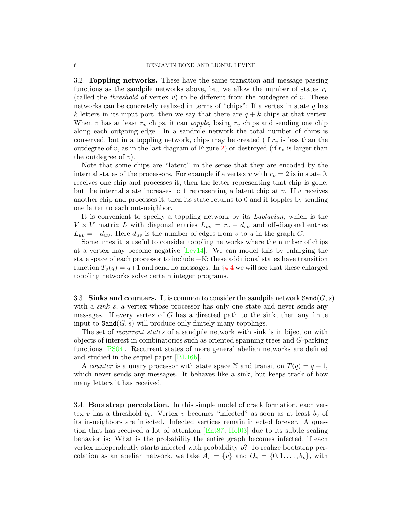<span id="page-5-1"></span>3.2. Toppling networks. These have the same transition and message passing functions as the sandpile networks above, but we allow the number of states  $r_v$ (called the *threshold* of vertex  $v$ ) to be different from the outdegree of  $v$ . These networks can be concretely realized in terms of "chips": If a vertex in state  $q$  has k letters in its input port, then we say that there are  $q + k$  chips at that vertex. When v has at least  $r_v$  chips, it can *topple*, losing  $r_v$  chips and sending one chip along each outgoing edge. In a sandpile network the total number of chips is conserved, but in a toppling network, chips may be created (if  $r_v$  is less than the outdegree of v, as in the last diagram of Figure [2\)](#page-4-0) or destroyed (if  $r_v$  is larger than the outdegree of  $v$ ).

Note that some chips are "latent" in the sense that they are encoded by the internal states of the processors. For example if a vertex v with  $r_v = 2$  is in state 0, receives one chip and processes it, then the letter representing that chip is gone, but the internal state increases to 1 representing a latent chip at  $v$ . If  $v$  receives another chip and processes it, then its state returns to 0 and it topples by sending one letter to each out-neighbor.

It is convenient to specify a toppling network by its Laplacian, which is the  $V \times V$  matrix L with diagonal entries  $L_{vv} = r_v - d_{vv}$  and off-diagonal entries  $L_{uv} = -d_{uv}$ . Here  $d_{uv}$  is the number of edges from v to u in the graph G.

Sometimes it is useful to consider toppling networks where the number of chips at a vertex may become negative [\[Lev14\]](#page-20-4). We can model this by enlarging the state space of each processor to include −N; these additional states have transition function  $T_v(q) = q+1$  and send no messages. In §[4.4](#page-15-1) we will see that these enlarged toppling networks solve certain integer programs.

<span id="page-5-0"></span>3.3. Sinks and counters. It is common to consider the sandpile network  $\texttt{Sand}(G, s)$ with a *sink s*, a vertex whose processor has only one state and never sends any messages. If every vertex of  $G$  has a directed path to the sink, then any finite input to  $\texttt{Sand}(G, s)$  will produce only finitely many topplings.

The set of *recurrent states* of a sandpile network with sink is in bijection with objects of interest in combinatorics such as oriented spanning trees and G-parking functions [\[PS04\]](#page-21-1). Recurrent states of more general abelian networks are defined and studied in the sequel paper [\[BL16b\]](#page-19-2).

A counter is a unary processor with state space N and transition  $T(q) = q + 1$ , which never sends any messages. It behaves like a sink, but keeps track of how many letters it has received.

3.4. Bootstrap percolation. In this simple model of crack formation, each vertex v has a threshold  $b_v$ . Vertex v becomes "infected" as soon as at least  $b_v$  of its in-neighbors are infected. Infected vertices remain infected forever. A question that has received a lot of attention [\[Ent87,](#page-19-8) [Hol03\]](#page-20-5) due to its subtle scaling behavior is: What is the probability the entire graph becomes infected, if each vertex independently starts infected with probability  $p$ ? To realize bootstrap percolation as an abelian network, we take  $A_v = \{v\}$  and  $Q_v = \{0, 1, \ldots, b_v\}$ , with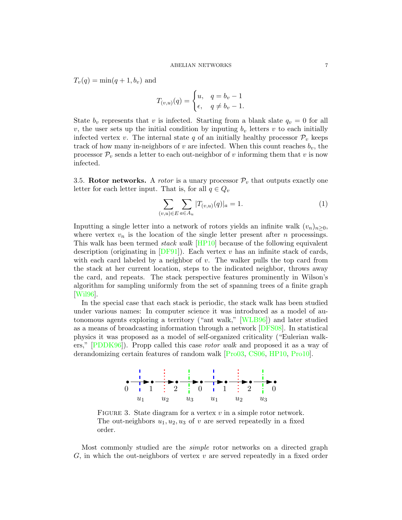$T_v(q) = \min(q+1, b_v)$  and

$$
T_{(v,u)}(q) = \begin{cases} u, & q = b_v - 1 \\ \epsilon, & q \neq b_v - 1. \end{cases}
$$

State  $b_v$  represents that v is infected. Starting from a blank slate  $q_v = 0$  for all v, the user sets up the initial condition by inputing  $b_v$  letters v to each initially infected vertex v. The internal state q of an initially healthy processor  $\mathcal{P}_v$  keeps track of how many in-neighbors of v are infected. When this count reaches  $b_v$ , the processor  $\mathcal{P}_v$  sends a letter to each out-neighbor of v informing them that v is now infected.

<span id="page-6-1"></span>3.5. Rotor networks. A *rotor* is a unary processor  $\mathcal{P}_v$  that outputs exactly one letter for each letter input. That is, for all  $q \in Q_v$ 

$$
\sum_{(v,u)\in E} \sum_{a\in A_u} |T_{(v,u)}(q)|_a = 1.
$$
\n(1)

Inputting a single letter into a network of rotors yields an infinite walk  $(v_n)_{n>0}$ , where vertex  $v_n$  is the location of the single letter present after n processings. This walk has been termed stack walk [\[HP10\]](#page-20-6) because of the following equivalent description (originating in  $[DF91]$ ). Each vertex v has an infinite stack of cards, with each card labeled by a neighbor of  $v$ . The walker pulls the top card from the stack at her current location, steps to the indicated neighbor, throws away the card, and repeats. The stack perspective features prominently in Wilson's algorithm for sampling uniformly from the set of spanning trees of a finite graph [\[Wil96\]](#page-21-2).

In the special case that each stack is periodic, the stack walk has been studied under various names: In computer science it was introduced as a model of autonomous agents exploring a territory ("ant walk," [\[WLB96\]](#page-21-3)) and later studied as a means of broadcasting information through a network [\[DFS08\]](#page-19-10). In statistical physics it was proposed as a model of self-organized criticality ("Eulerian walkers," [\[PDDK96\]](#page-21-4)). Propp called this case rotor walk and proposed it as a way of derandomizing certain features of random walk [\[Pro03,](#page-21-5) [CS06,](#page-19-11) [HP10,](#page-20-6) [Pro10\]](#page-21-6).



<span id="page-6-0"></span>FIGURE 3. State diagram for a vertex  $v$  in a simple rotor network. The out-neighbors  $u_1, u_2, u_3$  of v are served repeatedly in a fixed order.

Most commonly studied are the simple rotor networks on a directed graph  $G$ , in which the out-neighbors of vertex  $v$  are served repeatedly in a fixed order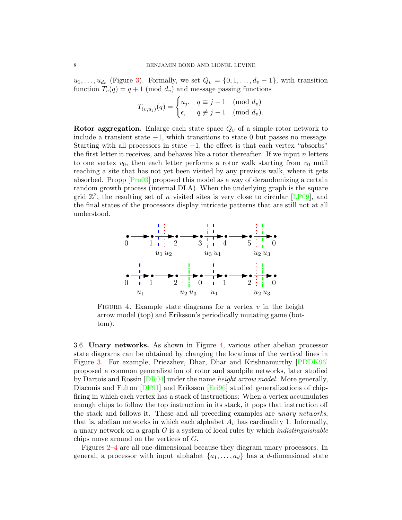$u_1, \ldots, u_{d_v}$  (Figure [3\)](#page-6-0). Formally, we set  $Q_v = \{0, 1, \ldots, d_v - 1\}$ , with transition function  $T_v(q) = q + 1 \pmod{d_v}$  and message passing functions

$$
T_{(v,u_j)}(q) = \begin{cases} u_j, & q \equiv j-1 \pmod{d_v} \\ \epsilon, & q \not\equiv j-1 \pmod{d_v} \end{cases}
$$

**Rotor aggregation.** Enlarge each state space  $Q_v$  of a simple rotor network to include a transient state −1, which transitions to state 0 but passes no message. Starting with all processors in state −1, the effect is that each vertex "absorbs" the first letter it receives, and behaves like a rotor thereafter. If we input  $n$  letters to one vertex  $v_0$ , then each letter performs a rotor walk starting from  $v_0$  until reaching a site that has not yet been visited by any previous walk, where it gets absorbed. Propp [\[Pro03\]](#page-21-5) proposed this model as a way of derandomizing a certain random growth process (internal DLA). When the underlying graph is the square grid  $\mathbb{Z}^2$ , the resulting set of *n* visited sites is very close to circular [\[LP09\]](#page-20-7), and the final states of the processors display intricate patterns that are still not at all understood.



<span id="page-7-0"></span>FIGURE 4. Example state diagrams for a vertex  $v$  in the height arrow model (top) and Eriksson's periodically mutating game (bottom).

3.6. Unary networks. As shown in Figure [4,](#page-7-0) various other abelian processor state diagrams can be obtained by changing the locations of the vertical lines in Figure [3.](#page-6-0) For example, Priezzhev, Dhar, Dhar and Krishnamurthy [\[PDDK96\]](#page-21-4) proposed a common generalization of rotor and sandpile networks, later studied by Dartois and Rossin  $[DR04]$  under the name *height arrow model*. More generally, Diaconis and Fulton [\[DF91\]](#page-19-9) and Eriksson [\[Eri96\]](#page-19-13) studied generalizations of chipfiring in which each vertex has a stack of instructions: When a vertex accumulates enough chips to follow the top instruction in its stack, it pops that instruction off the stack and follows it. These and all preceding examples are unary networks, that is, abelian networks in which each alphabet  $A_v$  has cardinality 1. Informally, a unary network on a graph  $G$  is a system of local rules by which *indistinguishable* chips move around on the vertices of G.

Figures [2–](#page-4-0)[4](#page-7-0) are all one-dimensional because they diagram unary processors. In general, a processor with input alphabet  $\{a_1, \ldots, a_d\}$  has a d-dimensional state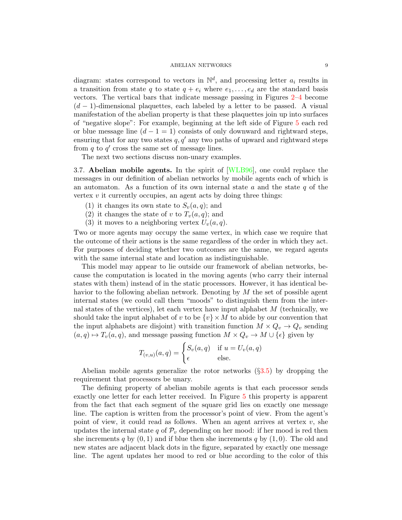diagram: states correspond to vectors in  $\mathbb{N}^d$ , and processing letter  $a_i$  results in a transition from state q to state  $q + e_i$  where  $e_1, \ldots, e_d$  are the standard basis vectors. The vertical bars that indicate message passing in Figures [2–](#page-4-0)[4](#page-7-0) become  $(d-1)$ -dimensional plaquettes, each labeled by a letter to be passed. A visual manifestation of the abelian property is that these plaquettes join up into surfaces of "negative slope": For example, beginning at the left side of Figure [5](#page-9-1) each red or blue message line  $(d - 1 = 1)$  consists of only downward and rightward steps, ensuring that for any two states  $q, q'$  any two paths of upward and rightward steps from  $q$  to  $q'$  cross the same set of message lines.

The next two sections discuss non-unary examples.

3.7. Abelian mobile agents. In the spirit of [\[WLB96\]](#page-21-3), one could replace the messages in our definition of abelian networks by mobile agents each of which is an automaton. As a function of its own internal state  $a$  and the state  $q$  of the vertex  $v$  it currently occupies, an agent acts by doing three things:

- (1) it changes its own state to  $S_v(a,q)$ ; and
- (2) it changes the state of v to  $T_v(a,q)$ ; and
- (3) it moves to a neighboring vertex  $U_v(a,q)$ .

Two or more agents may occupy the same vertex, in which case we require that the outcome of their actions is the same regardless of the order in which they act. For purposes of deciding whether two outcomes are the same, we regard agents with the same internal state and location as indistinguishable.

This model may appear to lie outside our framework of abelian networks, because the computation is located in the moving agents (who carry their internal states with them) instead of in the static processors. However, it has identical behavior to the following abelian network. Denoting by M the set of possible agent internal states (we could call them "moods" to distinguish them from the internal states of the vertices), let each vertex have input alphabet  $M$  (technically, we should take the input alphabet of v to be  $\{v\}\times M$  to abide by our convention that the input alphabets are disjoint) with transition function  $M \times Q_v \to Q_v$  sending  $(a, q) \mapsto T_v(a, q)$ , and message passing function  $M \times Q_v \to M \cup \{\epsilon\}$  given by

$$
T_{(v,u)}(a,q) = \begin{cases} S_v(a,q) & \text{if } u = U_v(a,q) \\ \epsilon & \text{else.} \end{cases}
$$

Abelian mobile agents generalize the rotor networks  $(\S3.5)$  $(\S3.5)$  by dropping the requirement that processors be unary.

The defining property of abelian mobile agents is that each processor sends exactly one letter for each letter received. In Figure [5](#page-9-1) this property is apparent from the fact that each segment of the square grid lies on exactly one message line. The caption is written from the processor's point of view. From the agent's point of view, it could read as follows. When an agent arrives at vertex  $v$ , she updates the internal state q of  $\mathcal{P}_v$  depending on her mood: if her mood is red then she increments q by  $(0, 1)$  and if blue then she increments q by  $(1, 0)$ . The old and new states are adjacent black dots in the figure, separated by exactly one message line. The agent updates her mood to red or blue according to the color of this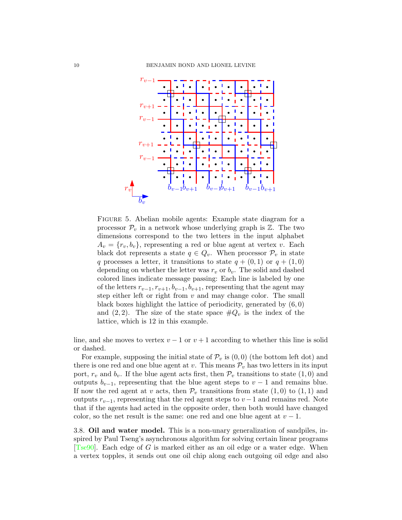

<span id="page-9-1"></span>FIGURE 5. Abelian mobile agents: Example state diagram for a processor  $\mathcal{P}_v$  in a network whose underlying graph is  $\mathbb{Z}$ . The two dimensions correspond to the two letters in the input alphabet  $A_v = \{r_v, b_v\}$ , representing a red or blue agent at vertex v. Each black dot represents a state  $q \in Q_v$ . When processor  $\mathcal{P}_v$  in state q processes a letter, it transitions to state  $q + (0, 1)$  or  $q + (1, 0)$ depending on whether the letter was  $r_v$  or  $b_v$ . The solid and dashed colored lines indicate message passing: Each line is labeled by one of the letters  $r_{v-1}, r_{v+1}, b_{v-1}, b_{v+1}$ , representing that the agent may step either left or right from  $v$  and may change color. The small black boxes highlight the lattice of periodicity, generated by  $(6, 0)$ and  $(2, 2)$ . The size of the state space  $\#Q_v$  is the index of the lattice, which is 12 in this example.

line, and she moves to vertex  $v - 1$  or  $v + 1$  according to whether this line is solid or dashed.

For example, supposing the initial state of  $\mathcal{P}_v$  is  $(0,0)$  (the bottom left dot) and there is one red and one blue agent at v. This means  $\mathcal{P}_v$  has two letters in its input port,  $r_v$  and  $b_v$ . If the blue agent acts first, then  $\mathcal{P}_v$  transitions to state  $(1,0)$  and outputs  $b_{v-1}$ , representing that the blue agent steps to  $v-1$  and remains blue. If now the red agent at v acts, then  $\mathcal{P}_v$  transitions from state  $(1,0)$  to  $(1,1)$  and outputs  $r_{v-1}$ , representing that the red agent steps to  $v-1$  and remains red. Note that if the agents had acted in the opposite order, then both would have changed color, so the net result is the same: one red and one blue agent at  $v - 1$ .

<span id="page-9-0"></span>3.8. Oil and water model. This is a non-unary generalization of sandpiles, inspired by Paul Tseng's asynchronous algorithm for solving certain linear programs [\[Tse90\]](#page-21-7). Each edge of G is marked either as an oil edge or a water edge. When a vertex topples, it sends out one oil chip along each outgoing oil edge and also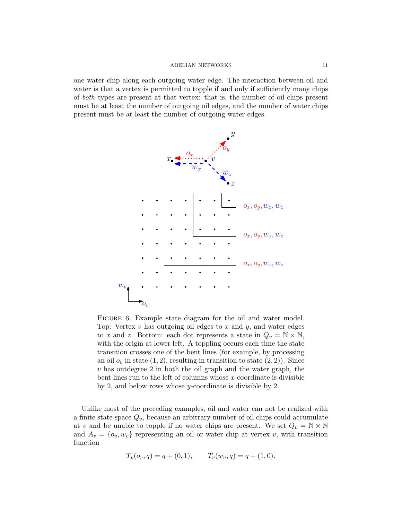one water chip along each outgoing water edge. The interaction between oil and water is that a vertex is permitted to topple if and only if sufficiently many chips of both types are present at that vertex: that is, the number of oil chips present must be at least the number of outgoing oil edges, and the number of water chips present must be at least the number of outgoing water edges.



<span id="page-10-0"></span>FIGURE 6. Example state diagram for the oil and water model. Top: Vertex  $v$  has outgoing oil edges to  $x$  and  $y$ , and water edges to x and z. Bottom: each dot represents a state in  $Q_v = N \times N$ , with the origin at lower left. A toppling occurs each time the state transition crosses one of the bent lines (for example, by processing an oil  $o_v$  in state  $(1, 2)$ , resulting in transition to state  $(2, 2)$ ). Since v has outdegree 2 in both the oil graph and the water graph, the bent lines run to the left of columns whose  $x$ -coordinate is divisible by 2, and below rows whose y-coordinate is divisible by 2.

Unlike most of the preceding examples, oil and water can not be realized with a finite state space  $Q_v$ , because an arbitrary number of oil chips could accumulate at v and be unable to topple if no water chips are present. We set  $Q_v = N \times N$ and  $A_v = \{o_v, w_v\}$  representing an oil or water chip at vertex v, with transition function

$$
T_v(o_v, q) = q + (0, 1),
$$
  $T_v(w_v, q) = q + (1, 0).$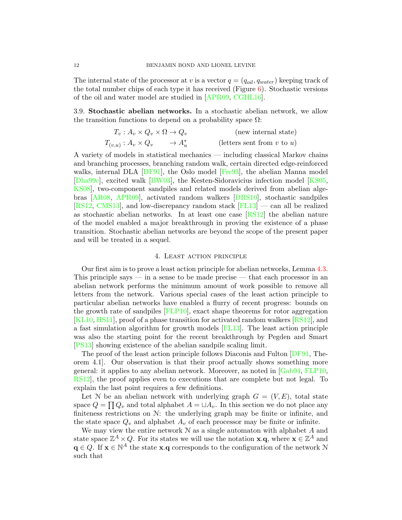The internal state of the processor at v is a vector  $q = (q_{oil}, q_{water})$  keeping track of the total number chips of each type it has received (Figure  $6$ ). Stochastic versions of the oil and water model are studied in [\[APR09,](#page-18-2) [CGHL16\]](#page-19-14).

3.9. Stochastic abelian networks. In a stochastic abelian network, we allow the transition functions to depend on a probability space  $\Omega$ :

$$
T_v: A_v \times Q_v \times \Omega \to Q_v
$$
 (new internal state)  
\n
$$
T_{(v,u)}: A_v \times Q_v \longrightarrow A_u^*
$$
 (letters sent from v to u)

A variety of models in statistical mechanics — including classical Markov chains and branching processes, branching random walk, certain directed edge-reinforced walks, internal DLA [\[DF91\]](#page-19-9), the Oslo model [\[Fre93\]](#page-20-8), the abelian Manna model [\[Dha99c\]](#page-19-15), excited walk [\[BW03\]](#page-18-3), the Kesten-Sidoravicius infection model [\[KS05,](#page-20-9) [KS08\]](#page-20-10), two-component sandpiles and related models derived from abelian algebras [\[AR08,](#page-18-4) [APR09\]](#page-18-2), activated random walkers [\[DRS10\]](#page-19-16), stochastic sandpiles [\[RS12,](#page-21-8) [CMS13\]](#page-19-17), and low-discrepancy random stack [\[FL13\]](#page-20-11) — can all be realized as stochastic abelian networks. In at least one case  $[RS12]$  the abelian nature of the model enabled a major breakthrough in proving the existence of a phase transition. Stochastic abelian networks are beyond the scope of the present paper and will be treated in a sequel.

### 4. Least action principle

<span id="page-11-0"></span>Our first aim is to prove a least action principle for abelian networks, Lemma [4.3.](#page-13-0) This principle says — in a sense to be made precise — that each processor in an abelian network performs the minimum amount of work possible to remove all letters from the network. Various special cases of the least action principle to particular abelian networks have enabled a flurry of recent progress: bounds on the growth rate of sandpiles  $[FLP10]$ , exact shape theorems for rotor aggregation [\[KL10,](#page-20-12) [HS11\]](#page-20-13), proof of a phase transition for activated random walkers [\[RS12\]](#page-21-8), and a fast simulation algorithm for growth models [\[FL13\]](#page-20-11). The least action principle was also the starting point for the recent breakthrough by Pegden and Smart [\[PS13\]](#page-21-9) showing existence of the abelian sandpile scaling limit.

The proof of the least action principle follows Diaconis and Fulton [\[DF91,](#page-19-9) Theorem 4.1]. Our observation is that their proof actually shows something more general: it applies to any abelian network. Moreover, as noted in [\[Gab94,](#page-20-14) [FLP10,](#page-19-18) [RS12\]](#page-21-8), the proof applies even to executions that are complete but not legal. To explain the last point requires a few definitions.

Let N be an abelian network with underlying graph  $G = (V, E)$ , total state space  $Q = \prod Q_v$  and total alphabet  $A = \sqcup A_v$ . In this section we do not place any finiteness restrictions on N: the underlying graph may be finite or infinite, and the state space  $Q_v$  and alphabet  $A_v$  of each processor may be finite or infinite.

We may view the entire network  $N$  as a single automaton with alphabet  $A$  and state space  $\mathbb{Z}^A \times Q$ . For its states we will use the notation **x**.q, where **x**  $\in \mathbb{Z}^A$  and  $\mathbf{q} \in Q$ . If  $\mathbf{x} \in \mathbb{N}^A$  the state **x**.q corresponds to the configuration of the network N such that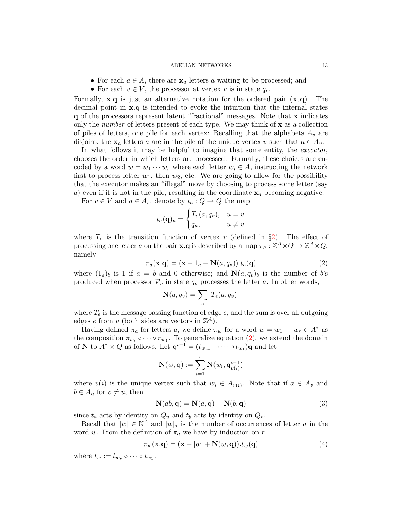- For each  $a \in A$ , there are  $\mathbf{x}_a$  letters a waiting to be processed; and
- For each  $v \in V$ , the processor at vertex v is in state  $q_v$ .

Formally, **x.q** is just an alternative notation for the ordered pair  $(x, q)$ . The decimal point in x.q is intended to evoke the intuition that the internal states q of the processors represent latent "fractional" messages. Note that x indicates only the *number* of letters present of each type. We may think of  $\bf{x}$  as a collection of piles of letters, one pile for each vertex: Recalling that the alphabets  $A_v$  are disjoint, the  $x_a$  letters a are in the pile of the unique vertex v such that  $a \in A_v$ .

In what follows it may be helpful to imagine that some entity, the *executor*, chooses the order in which letters are processed. Formally, these choices are encoded by a word  $w = w_1 \cdots w_r$  where each letter  $w_i \in A$ , instructing the network first to process letter  $w_1$ , then  $w_2$ , etc. We are going to allow for the possibility that the executor makes an "illegal" move by choosing to process some letter (say a) even if it is not in the pile, resulting in the coordinate  $x_a$  becoming negative.

For  $v \in V$  and  $a \in A_v$ , denote by  $t_a: Q \to Q$  the map

$$
t_a(\mathbf{q})_u = \begin{cases} T_v(a, q_v), & u = v \\ q_u, & u \neq v \end{cases}
$$

<span id="page-12-0"></span>where  $T_v$  is the transition function of vertex v (defined in §[2\)](#page-1-0). The effect of processing one letter a on the pair **x**.**q** is described by a map  $\pi_a : \mathbb{Z}^A \times Q \to \mathbb{Z}^A \times Q$ , namely

$$
\pi_a(\mathbf{x}.\mathbf{q}) = (\mathbf{x} - 1_a + \mathbf{N}(a, q_v)).t_a(\mathbf{q})
$$
\n(2)

where  $(1_a)_b$  is 1 if  $a = b$  and 0 otherwise; and  $\mathbf{N}(a, q_v)_b$  is the number of b's produced when processor  $\mathcal{P}_v$  in state  $q_v$  processes the letter a. In other words,

$$
\mathbf{N}(a, q_v) = \sum_e |T_e(a, q_v)|
$$

where  $T_e$  is the message passing function of edge  $e$ , and the sum is over all outgoing edges e from v (both sides are vectors in  $\mathbb{Z}^A$ ).

Having defined  $\pi_a$  for letters a, we define  $\pi_w$  for a word  $w = w_1 \cdots w_r \in A^*$  as the composition  $\pi_{w_r} \circ \cdots \circ \pi_{w_1}$ . To generalize equation [\(2\)](#page-12-0), we extend the domain of **N** to  $A^* \times Q$  as follows. Let  $\mathbf{q}^{i-1} = (t_{w_{i-1}} \circ \cdots \circ t_{w_1})\mathbf{q}$  and let

$$
\mathbf{N}(w,\mathbf{q}):=\sum_{i=1}^r\mathbf{N}(w_i,\mathbf{q}_{v(i)}^{i-1})
$$

where  $v(i)$  is the unique vertex such that  $w_i \in A_{v(i)}$ . Note that if  $a \in A_v$  and  $b \in A_u$  for  $v \neq u$ , then

<span id="page-12-2"></span><span id="page-12-1"></span>
$$
\mathbf{N}(ab, \mathbf{q}) = \mathbf{N}(a, \mathbf{q}) + \mathbf{N}(b, \mathbf{q})
$$
\n(3)

since  $t_a$  acts by identity on  $Q_u$  and  $t_b$  acts by identity on  $Q_v$ .

Recall that  $|w| \in \mathbb{N}^A$  and  $|w|_a$  is the number of occurrences of letter a in the word w. From the definition of  $\pi_a$  we have by induction on r

$$
\pi_w(\mathbf{x}.\mathbf{q}) = (\mathbf{x} - |w| + \mathbf{N}(w, \mathbf{q})).t_w(\mathbf{q})
$$
\n(4)

where  $t_w := t_{w_r} \circ \cdots \circ t_{w_1}$ .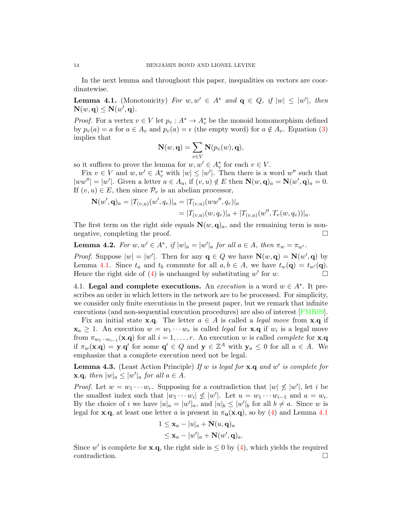In the next lemma and throughout this paper, inequalities on vectors are coordinatewise.

<span id="page-13-1"></span>**Lemma 4.1.** (Monotonicity) For  $w, w' \in A^*$  and  $\mathbf{q} \in Q$ , if  $|w| \leq |w'|$ , then  $\mathbf{N}(w,\mathbf{q}) \leq \mathbf{N}(w',\mathbf{q}).$ 

*Proof.* For a vertex  $v \in V$  let  $p_v : A^* \to A_v^*$  be the monoid homomorphism defined by  $p_v(a) = a$  for  $a \in A_v$  and  $p_v(a) = \epsilon$  (the empty word) for  $a \notin A_v$ . Equation [\(3\)](#page-12-1) implies that

$$
\mathbf{N}(w, \mathbf{q}) = \sum_{v \in V} \mathbf{N}(p_v(w), \mathbf{q}),
$$

so it suffices to prove the lemma for  $w, w' \in A_v^*$  for each  $v \in V$ .

Fix  $v \in V$  and  $w, w' \in A_v^*$  with  $|w| \leq |w'|$ . Then there is a word  $w''$  such that  $|ww''| = |w'|$ . Given a letter  $a \in A_u$ , if  $(v, u) \notin E$  then  $\mathbf{N}(w, \mathbf{q})_a = \mathbf{N}(w', \mathbf{q})_a = 0$ . If  $(v, u) \in E$ , then since  $\mathcal{P}_v$  is an abelian processor,

$$
\mathbf{N}(w', \mathbf{q})_a = |T_{(v,u)}(w', q_v)|_a = |T_{(v,u)}(ww'', q_v)|_a
$$
  
=  $|T_{(v,u)}(w, q_v)|_a + |T_{(v,u)}(w'', T_v(w, q_v))|_a.$ 

The first term on the right side equals  $\mathbf{N}(w, \mathbf{q})_a$ , and the remaining term is nonnegative, completing the proof.

**Lemma 4.2.** For  $w, w' \in A^*$ , if  $|w|_a = |w'|_a$  for all  $a \in A$ , then  $\pi_w = \pi_{w'}$ .

*Proof.* Suppose  $|w| = |w'|$ . Then for any  $q \in Q$  we have  $N(w, q) = N(w', q)$  by Lemma [4.1.](#page-13-1) Since  $t_a$  and  $t_b$  commute for all  $a, b \in A$ , we have  $t_w(\mathbf{q}) = t_{w'}(\mathbf{q})$ . Hence the right side of [\(4\)](#page-12-2) is unchanged by substituting w' for w.

4.1. Legal and complete executions. An *execution* is a word  $w \in A^*$ . It prescribes an order in which letters in the network are to be processed. For simplicity, we consider only finite executions in the present paper, but we remark that infinite executions (and non-sequential execution procedures) are also of interest [\[FMR09\]](#page-20-15).

Fix an initial state **x.q.** The letter  $a \in A$  is called a *legal move* from **x.q** if  $\mathbf{x}_a \geq 1$ . An execution  $w = w_1 \cdots w_r$  is called *legal* for  $\mathbf{x} \cdot \mathbf{q}$  if  $w_i$  is a legal move from  $\pi_{w_1\cdots w_{i-1}}(\mathbf{x}.q)$  for all  $i=1,\ldots,r$ . An execution w is called *complete* for **x**.q if  $\pi_w(\mathbf{x}.q) = \mathbf{y}.q'$  for some  $q' \in Q$  and  $\mathbf{y} \in \mathbb{Z}^A$  with  $\mathbf{y}_a \leq 0$  for all  $a \in A$ . We emphasize that a complete execution need not be legal.

<span id="page-13-0"></span>**Lemma 4.3.** (Least Action Principle) If w is legal for  $\mathbf{x} \cdot \mathbf{q}$  and w' is complete for **x.q**, then  $|w|_a \leq |w'|_a$  for all  $a \in A$ .

*Proof.* Let  $w = w_1 \cdots w_r$ . Supposing for a contradiction that  $|w| \nleq |w'|$ , let i be the smallest index such that  $|w_1 \cdots w_i| \not\leq |w'|$ . Let  $u = w_1 \cdots w_{i-1}$  and  $a = w_i$ . By the choice of i we have  $|u|_a = |w'|_a$ , and  $|u|_b \leq |w'|_b$  for all  $b \neq a$ . Since w is legal for x.q, at least one letter a is present in  $\pi_{\mathbf{u}}(\mathbf{x}.\mathbf{q})$ , so by [\(4\)](#page-12-2) and Lemma [4.1](#page-13-1)

$$
1 \leq \mathbf{x}_a - |u|_a + \mathbf{N}(u, \mathbf{q})_a
$$
  

$$
\leq \mathbf{x}_a - |w'|_a + \mathbf{N}(w', \mathbf{q})_a.
$$

Since w' is complete for **x**.q, the right side is  $\leq 0$  by [\(4\)](#page-12-2), which yields the required contradiction.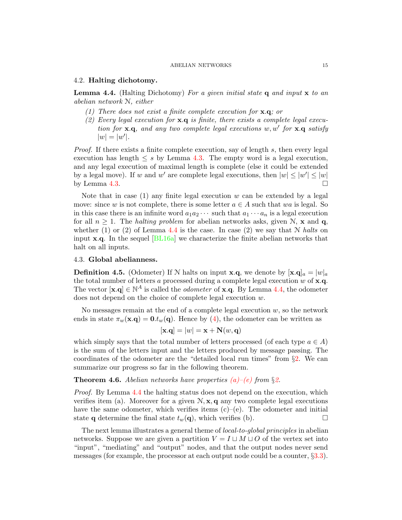### 4.2. Halting dichotomy.

<span id="page-14-0"></span>**Lemma 4.4.** (Halting Dichotomy) For a given initial state  $q$  and input  $x$  to an abelian network N, either

- (1) There does not exist a finite complete execution for  $\mathbf{x} \cdot \mathbf{q}$ ; or
- (2) Every legal execution for  $x.q$  is finite, there exists a complete legal execution for  $x.q$ , and any two complete legal executions  $w, w'$  for  $x.q$  satisfy  $|w| = |w'|$ .

Proof. If there exists a finite complete execution, say of length s, then every legal execution has length  $\leq s$  by Lemma [4.3.](#page-13-0) The empty word is a legal execution, and any legal execution of maximal length is complete (else it could be extended by a legal move). If w and w' are complete legal executions, then  $|w| \le |w'| \le |w|$ by Lemma [4.3.](#page-13-0)  $\Box$ 

Note that in case (1) any finite legal execution  $w$  can be extended by a legal move: since w is not complete, there is some letter  $a \in A$  such that wa is legal. So in this case there is an infinite word  $a_1a_2\cdots$  such that  $a_1\cdots a_n$  is a legal execution for all  $n \geq 1$ . The *halting problem* for abelian networks asks, given N, **x** and **q**, whether (1) or (2) of Lemma [4.4](#page-14-0) is the case. In case (2) we say that  $N$  halts on input x.q. In the sequel [\[BL16a\]](#page-19-1) we characterize the finite abelian networks that halt on all inputs.

### 4.3. Global abelianness.

<span id="page-14-1"></span>**Definition 4.5.** (Odometer) If N halts on input **x**.q, we denote by  $[\mathbf{x}, \mathbf{q}]_a = |w|_a$ the total number of letters a processed during a complete legal execution  $w$  of  $x.q$ . The vector  $[\mathbf{x}.q] \in \mathbb{N}^A$  is called the *odometer* of **x**.q. By Lemma [4.4,](#page-14-0) the odometer does not depend on the choice of complete legal execution w.

No messages remain at the end of a complete legal execution  $w$ , so the network ends in state  $\pi_w(\mathbf{x}.q) = \mathbf{0}.t_w(q)$ . Hence by [\(4\)](#page-12-2), the odometer can be written as

$$
[\mathbf{x}.\mathbf{q}] = |w| = \mathbf{x} + \mathbf{N}(w, \mathbf{q})
$$

which simply says that the total number of letters processed (of each type  $a \in A$ ) is the sum of the letters input and the letters produced by message passing. The coordinates of the odometer are the "detailed local run times" from §[2.](#page-1-0) We can summarize our progress so far in the following theorem.

## <span id="page-14-2"></span>**Theorem 4.6.** Abelian networks have properties  $(a)$ – $(e)$  from §[2.](#page-1-0)

Proof. By Lemma [4.4](#page-14-0) the halting status does not depend on the execution, which verifies item (a). Moreover for a given  $N, x, q$  any two complete legal executions have the same odometer, which verifies items  $(c)$ – $(e)$ . The odometer and initial state **q** determine the final state  $t_w(\mathbf{q})$ , which verifies (b).

The next lemma illustrates a general theme of local-to-global principles in abelian networks. Suppose we are given a partition  $V = I \sqcup M \sqcup O$  of the vertex set into "input", "mediating" and "output" nodes, and that the output nodes never send messages (for example, the processor at each output node could be a counter,  $\S 3.3$ ).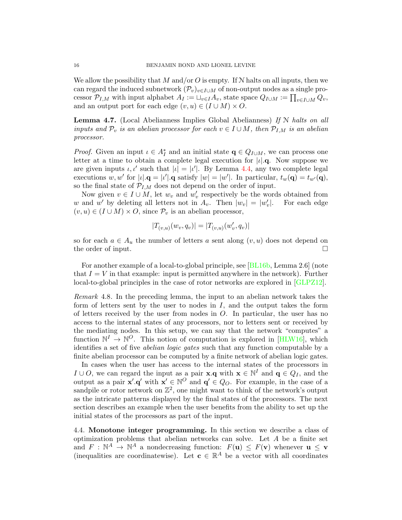We allow the possibility that M and/or O is empty. If  $N$  halts on all inputs, then we can regard the induced subnetwork  $(\mathcal{P}_v)_{v\in I\cup M}$  of non-output nodes as a single processor  $\mathcal{P}_{I,M}$  with input alphabet  $A_I := \sqcup_{v \in I} A_v$ , state space  $Q_{I \cup M} := \prod_{v \in I \cup M} Q_v$ , and an output port for each edge  $(v, u) \in (I \cup M) \times O$ .

<span id="page-15-0"></span>**Lemma 4.7.** (Local Abelianness Implies Global Abelianness) If  $N$  halts on all inputs and  $\mathcal{P}_v$  is an abelian processor for each  $v \in I \cup M$ , then  $\mathcal{P}_{I,M}$  is an abelian processor.

*Proof.* Given an input  $\iota \in A_I^*$  and an initial state  $\mathbf{q} \in Q_{I \cup M}$ , we can process one letter at a time to obtain a complete legal execution for  $|\iota|$ . Now suppose we are given inputs  $\iota, \iota'$  such that  $|\iota| = |\iota'|$ . By Lemma [4.4,](#page-14-0) any two complete legal executions w, w' for  $|\iota| \cdot \mathbf{q} = |\iota'| \cdot \mathbf{q}$  satisfy  $|w| = |w'|$ . In particular,  $t_w(\mathbf{q}) = t_{w'}(\mathbf{q})$ , so the final state of  $\mathcal{P}_{I,M}$  does not depend on the order of input.

Now given  $v \in I \cup M$ , let  $w_v$  and  $w'_v$  respectively be the words obtained from w and w' by deleting all letters not in  $A_v$ . Then  $|w_v| = |w'_v|$ |. For each edge  $(v, u) \in (I \cup M) \times O$ , since  $P_v$  is an abelian processor,

$$
|T_{(v,u)}(w_v, q_v)| = |T_{(v,u)}(w'_v, q_v)|
$$

so for each  $a \in A_u$  the number of letters a sent along  $(v, u)$  does not depend on the order of input.

For another example of a local-to-global principle, see [\[BL16b,](#page-19-2) Lemma 2.6] (note that  $I = V$  in that example: input is permitted anywhere in the network). Further local-to-global principles in the case of rotor networks are explored in [\[GLPZ12\]](#page-20-16).

Remark 4.8. In the preceding lemma, the input to an abelian network takes the form of letters sent by the user to nodes in  $I$ , and the output takes the form of letters received by the user from nodes in O. In particular, the user has no access to the internal states of any processors, nor to letters sent or received by the mediating nodes. In this setup, we can say that the network "computes" a function  $\mathbb{N}^I \to \mathbb{N}^O$ . This notion of computation is explored in [\[HLW16\]](#page-20-0), which identifies a set of five abelian logic gates such that any function computable by a finite abelian processor can be computed by a finite network of abelian logic gates.

In cases when the user has access to the internal states of the processors in  $I \cup O$ , we can regard the input as a pair **x**.**q** with **x**  $\in \mathbb{N}^I$  and **q**  $\in Q_I$ , and the output as a pair  $\mathbf{x}' \cdot \mathbf{q}'$  with  $\mathbf{x}' \in \mathbb{N}^O$  and  $\mathbf{q}' \in Q_O$ . For example, in the case of a sandpile or rotor network on  $\mathbb{Z}^2$ , one might want to think of the network's output as the intricate patterns displayed by the final states of the processors. The next section describes an example when the user benefits from the ability to set up the initial states of the processors as part of the input.

<span id="page-15-1"></span>4.4. Monotone integer programming. In this section we describe a class of optimization problems that abelian networks can solve. Let A be a finite set and  $F : \mathbb{N}^A \to \mathbb{N}^A$  a nondecreasing function:  $F(\mathbf{u}) \leq F(\mathbf{v})$  whenever  $\mathbf{u} \leq \mathbf{v}$ (inequalities are coordinatewise). Let  $\mathbf{c} \in \mathbb{R}^A$  be a vector with all coordinates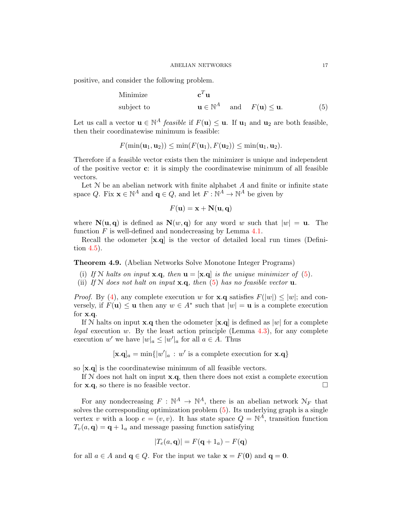positive, and consider the following problem.

Minimize 
$$
\mathbf{c}^T \mathbf{u}
$$
  
subject to  $\mathbf{u} \in \mathbb{N}^A$  and  $F(\mathbf{u}) \le \mathbf{u}$ . (5)

Let us call a vector  $\mathbf{u} \in \mathbb{N}^A$  *feasible* if  $F(\mathbf{u}) \leq \mathbf{u}$ . If  $\mathbf{u}_1$  and  $\mathbf{u}_2$  are both feasible, then their coordinatewise minimum is feasible:

$$
F(\min(\mathbf{u}_1, \mathbf{u}_2)) \leq \min(F(\mathbf{u}_1), F(\mathbf{u}_2)) \leq \min(\mathbf{u}_1, \mathbf{u}_2).
$$

Therefore if a feasible vector exists then the minimizer is unique and independent of the positive vector  $\mathbf{c}$ : it is simply the coordinatewise minimum of all feasible vectors.

Let  $N$  be an abelian network with finite alphabet  $A$  and finite or infinite state space Q. Fix  $\mathbf{x} \in \mathbb{N}^A$  and  $\mathbf{q} \in Q$ , and let  $F : \mathbb{N}^A \to \mathbb{N}^A$  be given by

<span id="page-16-0"></span>
$$
F(\mathbf{u}) = \mathbf{x} + \mathbf{N}(\mathbf{u}, \mathbf{q})
$$

where  $N(u, q)$  is defined as  $N(w, q)$  for any word w such that  $|w| = u$ . The function  $F$  is well-defined and nondecreasing by Lemma  $4.1$ .

Recall the odometer [x.q] is the vector of detailed local run times (Definition [4.5\)](#page-14-1).

<span id="page-16-1"></span>Theorem 4.9. (Abelian Networks Solve Monotone Integer Programs)

- (i) If N halts on input  $\mathbf{x} \cdot \mathbf{q}$ , then  $\mathbf{u} = [\mathbf{x} \cdot \mathbf{q}]$  is the unique minimizer of [\(5\)](#page-16-0).
- (ii) If N does not halt on input  $\mathbf{x} \cdot \mathbf{q}$ , then [\(5\)](#page-16-0) has no feasible vector  $\mathbf{u}$ .

*Proof.* By [\(4\)](#page-12-2), any complete execution w for **x**.**q** satisfies  $F(|w|) \leq |w|$ ; and conversely, if  $F(\mathbf{u}) \leq \mathbf{u}$  then any  $w \in A^*$  such that  $|w| = \mathbf{u}$  is a complete execution for x.q.

If N halts on input **x**.q then the odometer  $[\mathbf{x} \cdot \mathbf{q}]$  is defined as  $|w|$  for a complete legal execution w. By the least action principle (Lemma  $4.3$ ), for any complete execution w' we have  $|w|_a \le |w'|_a$  for all  $a \in A$ . Thus

$$
[\mathbf{x}. \mathbf{q}]_a = \min\{|w'|_a : w' \text{ is a complete execution for } \mathbf{x}. \mathbf{q}\}\
$$

so [x.q] is the coordinatewise minimum of all feasible vectors.

If  $N$  does not halt on input  $x.q$ , then there does not exist a complete execution for **x.q**, so there is no feasible vector.

For any nondecreasing  $F : \mathbb{N}^A \to \mathbb{N}^A$ , there is an abelian network  $\mathcal{N}_F$  that solves the corresponding optimization problem [\(5\)](#page-16-0). Its underlying graph is a single vertex v with a loop  $e = (v, v)$ . It has state space  $Q = \mathbb{N}^A$ , transition function  $T_v(a, \mathbf{q}) = \mathbf{q} + 1_a$  and message passing function satisfying

$$
|T_e(a, \mathbf{q})| = F(\mathbf{q} + 1_a) - F(\mathbf{q})
$$

for all  $a \in A$  and  $\mathbf{q} \in Q$ . For the input we take  $\mathbf{x} = F(\mathbf{0})$  and  $\mathbf{q} = \mathbf{0}$ .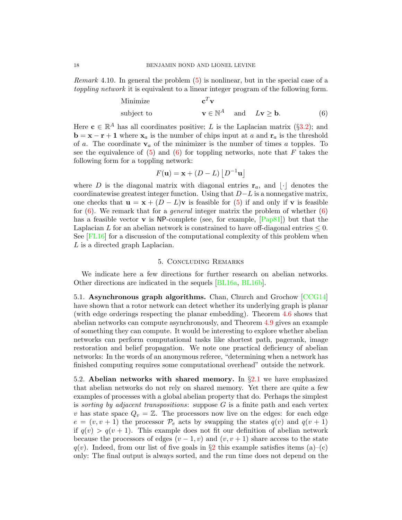Remark 4.10. In general the problem [\(5\)](#page-16-0) is nonlinear, but in the special case of a toppling network it is equivalent to a linear integer program of the following form.

Minimize 
$$
\mathbf{c}^T \mathbf{v}
$$
  
subject to  $\mathbf{v} \in \mathbb{N}^A$  and  $L\mathbf{v} \ge \mathbf{b}$ . (6)

Here  $\mathbf{c} \in \mathbb{R}^A$  has all coordinates positive; L is the Laplacian matrix (§[3.2\)](#page-5-1); and  $\mathbf{b} = \mathbf{x} - \mathbf{r} + \mathbf{1}$  where  $\mathbf{x}_a$  is the number of chips input at a and  $\mathbf{r}_a$  is the threshold of a. The coordinate  $v_a$  of the minimizer is the number of times a topples. To see the equivalence of  $(5)$  and  $(6)$  for toppling networks, note that F takes the following form for a toppling network:

<span id="page-17-1"></span>
$$
F(\mathbf{u}) = \mathbf{x} + (D - L) |D^{-1}\mathbf{u}|
$$

where D is the diagonal matrix with diagonal entries  $\mathbf{r}_a$ , and  $\lvert \cdot \rvert$  denotes the coordinatewise greatest integer function. Using that  $D-L$  is a nonnegative matrix, one checks that  $\mathbf{u} = \mathbf{x} + (D - L)\mathbf{v}$  is feasible for [\(5\)](#page-16-0) if and only if  $\mathbf{v}$  is feasible for  $(6)$ . We remark that for a *general* integer matrix the problem of whether  $(6)$ has a feasible vector **v** is NP-complete (see, for example,  $\text{[Pap81]}$  $\text{[Pap81]}$  $\text{[Pap81]}$ ) but that the Laplacian L for an abelian network is constrained to have off-diagonal entries  $\leq 0$ . See [\[FL16\]](#page-20-17) for a discussion of the computational complexity of this problem when L is a directed graph Laplacian.

### 5. Concluding Remarks

We indicate here a few directions for further research on abelian networks. Other directions are indicated in the sequels [\[BL16a,](#page-19-1) [BL16b\]](#page-19-2).

<span id="page-17-0"></span>5.1. Asynchronous graph algorithms. Chan, Church and Grochow [\[CCG14\]](#page-19-19) have shown that a rotor network can detect whether its underlying graph is planar (with edge orderings respecting the planar embedding). Theorem [4.6](#page-14-2) shows that abelian networks can compute asynchronously, and Theorem [4.9](#page-16-1) gives an example of something they can compute. It would be interesting to explore whether abelian networks can perform computational tasks like shortest path, pagerank, image restoration and belief propagation. We note one practical deficiency of abelian networks: In the words of an anonymous referee, "determining when a network has finished computing requires some computational overhead" outside the network.

5.2. Abelian networks with shared memory. In  $\S 2.1$  $\S 2.1$  we have emphasized that abelian networks do not rely on shared memory. Yet there are quite a few examples of processes with a global abelian property that do. Perhaps the simplest is sorting by adjacent transpositions: suppose  $G$  is a finite path and each vertex v has state space  $Q_v = \mathbb{Z}$ . The processors now live on the edges: for each edge  $e = (v, v + 1)$  the processor  $\mathcal{P}_e$  acts by swapping the states  $q(v)$  and  $q(v + 1)$ if  $q(v) > q(v + 1)$ . This example does not fit our definition of abelian network because the processors of edges  $(v - 1, v)$  and  $(v, v + 1)$  share access to the state  $q(v)$ . Indeed, from our list of five goals in §[2](#page-1-1) this example satisfies items (a)–(c) only: The final output is always sorted, and the run time does not depend on the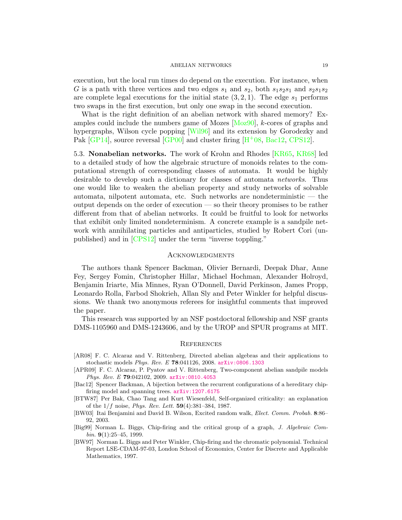execution, but the local run times do depend on the execution. For instance, when G is a path with three vertices and two edges  $s_1$  and  $s_2$ , both  $s_1s_2s_1$  and  $s_2s_1s_2$ are complete legal executions for the initial state  $(3, 2, 1)$ . The edge  $s_1$  performs two swaps in the first execution, but only one swap in the second execution.

What is the right definition of an abelian network with shared memory? Examples could include the numbers game of Mozes [\[Moz90\]](#page-20-18), k-cores of graphs and hypergraphs, Wilson cycle popping [\[Wil96\]](#page-21-2) and its extension by Gorodezky and Pak  $[GP14]$ , source reversal  $[GP00]$  and cluster firing  $[H^+08, \text{Bac12}, \text{CPS12}]$  $[H^+08, \text{Bac12}, \text{CPS12}]$  $[H^+08, \text{Bac12}, \text{CPS12}]$ .

5.3. Nonabelian networks. The work of Krohn and Rhodes [\[KR65,](#page-20-22) [KR68\]](#page-20-23) led to a detailed study of how the algebraic structure of monoids relates to the computational strength of corresponding classes of automata. It would be highly desirable to develop such a dictionary for classes of automata networks. Thus one would like to weaken the abelian property and study networks of solvable automata, nilpotent automata, etc. Such networks are nondeterministic — the output depends on the order of execution — so their theory promises to be rather different from that of abelian networks. It could be fruitful to look for networks that exhibit only limited nondeterminism. A concrete example is a sandpile network with annihilating particles and antiparticles, studied by Robert Cori (unpublished) and in [\[CPS12\]](#page-19-20) under the term "inverse toppling."

#### **ACKNOWLEDGMENTS**

The authors thank Spencer Backman, Olivier Bernardi, Deepak Dhar, Anne Fey, Sergey Fomin, Christopher Hillar, Michael Hochman, Alexander Holroyd, Benjamin Iriarte, Mia Minnes, Ryan O'Donnell, David Perkinson, James Propp, Leonardo Rolla, Farbod Shokrieh, Allan Sly and Peter Winkler for helpful discussions. We thank two anonymous referees for insightful comments that improved the paper.

This research was supported by an NSF postdoctoral fellowship and NSF grants DMS-1105960 and DMS-1243606, and by the UROP and SPUR programs at MIT.

#### **REFERENCES**

- <span id="page-18-4"></span>[AR08] F. C. Alcaraz and V. Rittenberg, Directed abelian algebras and their applications to stochastic models Phys. Rev. E 78:041126, 2008. [arXiv:0806.1303](http://arxiv.org/abs/0806.1303)
- <span id="page-18-2"></span>[APR09] F. C. Alcaraz, P. Pyatov and V. Rittenberg, Two-component abelian sandpile models Phys. Rev. E 79:042102, 2009. [arXiv:0810.4053](http://arxiv.org/abs/0810.4053)
- <span id="page-18-5"></span>[Bac12] Spencer Backman, A bijection between the recurrent configurations of a hereditary chipfiring model and spanning trees. [arXiv:1207.6175](http://arxiv.org/abs/1207.6175)
- <span id="page-18-0"></span>[BTW87] Per Bak, Chao Tang and Kurt Wiesenfeld, Self-organized criticality: an explanation of the  $1/f$  noise, *Phys. Rev. Lett.*  $59(4):381-384, 1987$ .
- <span id="page-18-3"></span>[BW03] Itai Benjamini and David B. Wilson, Excited random walk, Elect. Comm. Probab. 8:86– 92, 2003.
- <span id="page-18-1"></span>[Big99] Norman L. Biggs, Chip-firing and the critical group of a graph, J. Algebraic Combin.  $9(1):25-45, 1999.$
- [BW97] Norman L. Biggs and Peter Winkler, Chip-firing and the chromatic polynomial. Technical Report LSE-CDAM-97-03, London School of Economics, Center for Discrete and Applicable Mathematics, 1997.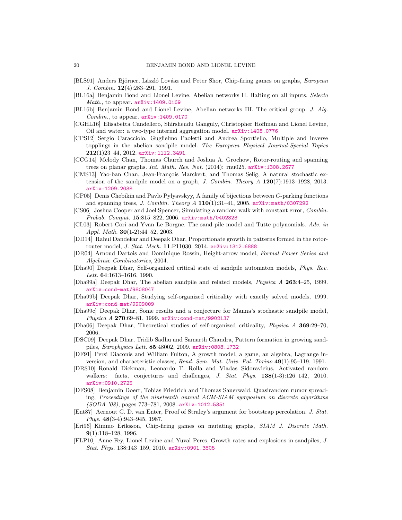- <span id="page-19-6"></span>[BLS91] Anders Björner, László Lovász and Peter Shor, Chip-firing games on graphs, European J. Combin. 12(4):283–291, 1991.
- <span id="page-19-1"></span>[BL16a] Benjamin Bond and Lionel Levine, Abelian networks II. Halting on all inputs. Selecta Math., to appear.  $arXiv:1409.0169$
- <span id="page-19-2"></span>[BL16b] Benjamin Bond and Lionel Levine, Abelian networks III. The critical group. J. Alg. Combin., to appear. [arXiv:1409.0170](http://arxiv.org/abs/1409.0170)
- <span id="page-19-14"></span>[CGHL16] Elisabetta Candellero, Shirshendu Ganguly, Christopher Hoffman and Lionel Levine, Oil and water: a two-type internal aggregation model. [arXiv:1408.0776](http://arxiv.org/abs/1408.0776)
- <span id="page-19-20"></span>[CPS12] Sergio Caracciolo, Guglielmo Paoletti and Andrea Sportiello, Multiple and inverse topplings in the abelian sandpile model. The European Physical Journal-Special Topics 212(1)23–44, 2012. [arXiv:1112.3491](http://arxiv.org/abs/1112.3491)
- <span id="page-19-19"></span>[CCG14] Melody Chan, Thomas Church and Joshua A. Grochow, Rotor-routing and spanning trees on planar graphs. Int. Math. Res. Not. (2014): rnu025. [arXiv:1308.2677](http://arxiv.org/abs/1308.2677)
- <span id="page-19-17"></span>[CMS13] Yao-ban Chan, Jean-François Marckert, and Thomas Selig, A natural stochastic extension of the sandpile model on a graph,  $J. Combin. Theory A 120(7):1913-1928, 2013.$ [arXiv:1209.2038](http://arxiv.org/abs/1209.2038)
- [CP05] Denis Chebikin and Pavlo Pylyavskyy, A family of bijections between G-parking functions and spanning trees, J. Combin. Theory  $A$  110(1):31-41, 2005. [arXiv:math/0307292](http://arxiv.org/abs/math/0307292)
- <span id="page-19-11"></span>[CS06] Joshua Cooper and Joel Spencer, Simulating a random walk with constant error, Combin. Probab. Comput. 15:815–822, 2006. [arXiv:math/0402323](http://arxiv.org/abs/math/0402323)
- [CL03] Robert Cori and Yvan Le Borgne. The sand-pile model and Tutte polynomials. Adv. in Appl. Math. 30(1-2):44–52, 2003.
- [DD14] Rahul Dandekar and Deepak Dhar, Proportionate growth in patterns formed in the rotorrouter model, J. Stat. Mech. 11:P11030, 2014. [arXiv:1312.6888](http://arxiv.org/abs/1312.6888)
- <span id="page-19-12"></span>[DR04] Arnoud Dartois and Dominique Rossin, Height-arrow model, Formal Power Series and Algebraic Combinatorics, 2004.
- <span id="page-19-5"></span>[Dha90] Deepak Dhar, Self-organized critical state of sandpile automaton models, Phys. Rev. Lett. **64**:1613-1616, 1990.
- <span id="page-19-0"></span>[Dha99a] Deepak Dhar, The abelian sandpile and related models, Physica A 263:4–25, 1999. [arXiv:cond-mat/9808047](http://arxiv.org/abs/cond-mat/9808047)
- <span id="page-19-3"></span>[Dha99b] Deepak Dhar, Studying self-organized criticality with exactly solved models, 1999. [arXiv:cond-mat/9909009](http://arxiv.org/abs/cond-mat/9909009)
- <span id="page-19-15"></span>[Dha99c] Deepak Dhar, Some results and a conjecture for Manna's stochastic sandpile model, Physica A 270:69-81, 1999. arXiv: cond-mat/9902137
- <span id="page-19-4"></span>[Dha06] Deepak Dhar, Theoretical studies of self-organized criticality, Physica A 369:29–70, 2006.
- <span id="page-19-7"></span>[DSC09] Deepak Dhar, Tridib Sadhu and Samarth Chandra, Pattern formation in growing sandpiles, Europhysics Lett. 85:48002, 2009. [arXiv:0808.1732](http://arxiv.org/abs/0808.1732)
- <span id="page-19-9"></span>[DF91] Persi Diaconis and William Fulton, A growth model, a game, an algebra, Lagrange inversion, and characteristic classes, Rend. Sem. Mat. Univ. Pol. Torino 49(1):95–119, 1991.
- <span id="page-19-16"></span>[DRS10] Ronald Dickman, Leonardo T. Rolla and Vladas Sidoravicius, Activated random walkers: facts, conjectures and challenges, J. Stat. Phys. 138(1-3):126-142, 2010. [arXiv:0910.2725](http://arxiv.org/abs/0910.2725)
- <span id="page-19-10"></span>[DFS08] Benjamin Doerr, Tobias Friedrich and Thomas Sauerwald, Quasirandom rumor spreading, Proceedings of the nineteenth annual ACM-SIAM symposium on discrete algorithms (SODA '08), pages 773–781, 2008. [arXiv:1012.5351](http://arxiv.org/abs/1012.5351)
- <span id="page-19-8"></span>[Ent87] Aernout C. D. van Enter, Proof of Straley's argument for bootstrap percolation. J. Stat. Phys. 48(3-4):943–945, 1987.
- <span id="page-19-13"></span>[Eri96] Kimmo Eriksson, Chip-firing games on mutating graphs, SIAM J. Discrete Math. 9(1):118–128, 1996.
- <span id="page-19-18"></span>[FLP10] Anne Fey, Lionel Levine and Yuval Peres, Growth rates and explosions in sandpiles, J. Stat. Phys. 138:143–159, 2010. [arXiv:0901.3805](http://arxiv.org/abs/0901.3805)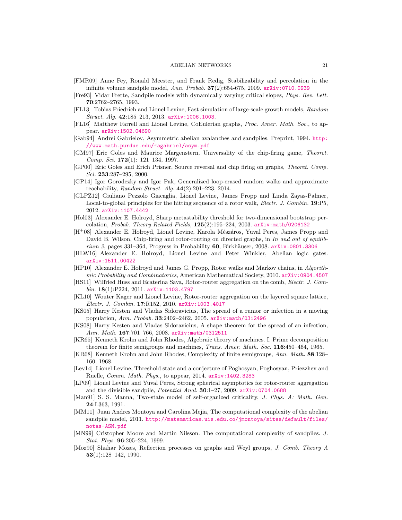- <span id="page-20-15"></span>[FMR09] Anne Fey, Ronald Meester, and Frank Redig, Stabilizability and percolation in the infinite volume sandpile model, Ann. Probab.  $37(2)$ :654-675, 2009. [arXiv:0710.0939](http://arxiv.org/abs/0710.0939)
- <span id="page-20-8"></span>[Fre93] Vidar Frette, Sandpile models with dynamically varying critical slopes, Phys. Rev. Lett. 70:2762–2765, 1993.
- <span id="page-20-11"></span>[FL13] Tobias Friedrich and Lionel Levine, Fast simulation of large-scale growth models, Random Struct. Alg. 42:185–213, 2013. [arXiv:1006.1003](http://arxiv.org/abs/1006.1003).
- <span id="page-20-17"></span>[FL16] Matthew Farrell and Lionel Levine, CoEulerian graphs, Proc. Amer. Math. Soc., to appear. [arXiv:1502.04690](http://arxiv.org/abs/1502.04690)
- <span id="page-20-14"></span>[Gab94] Andrei Gabrielov, Asymmetric abelian avalanches and sandpiles. Preprint, 1994. [http:](http://www.math.purdue.edu/~agabriel/asym.pdf) [//www.math.purdue.edu/~agabriel/asym.pdf](http://www.math.purdue.edu/~agabriel/asym.pdf)
- <span id="page-20-1"></span>[GM97] Eric Goles and Maurice Margenstern, Universality of the chip-firing game, Theoret. Comp. Sci. 172(1): 121–134, 1997.
- <span id="page-20-20"></span>[GP00] Eric Goles and Erich Prisner, Source reversal and chip firing on graphs, Theoret. Comp. Sci. 233:287-295, 2000.
- <span id="page-20-19"></span>[GP14] Igor Gorodezky and Igor Pak, Generalized loop-erased random walks and approximate reachability, Random Struct. Alg. 44(2):201–223, 2014.
- <span id="page-20-16"></span>[GLPZ12] Giuliano Pezzolo Giacaglia, Lionel Levine, James Propp and Linda Zayas-Palmer, Local-to-global principles for the hitting sequence of a rotor walk, *Electr. J. Combin.* 19:P5, 2012. [arXiv:1107.4442](http://arxiv.org/abs/1107.4442)
- <span id="page-20-5"></span>[Hol03] Alexander E. Holroyd, Sharp metastability threshold for two-dimensional bootstrap percolation, Probab. Theory Related Fields,  $125(2):195-224$ , 2003. [arXiv:math/0206132](http://arxiv.org/abs/math/0206132)
- <span id="page-20-21"></span> $[H<sup>+</sup>08]$  Alexander E. Holroyd, Lionel Levine, Karola Mészáros, Yuval Peres, James Propp and David B. Wilson, Chip-firing and rotor-routing on directed graphs, in In and out of equilibrium 2, pages 331–364, Progress in Probability 60, Birkhäuser, 2008. [arXiv:0801.3306](http://arxiv.org/abs/0801.3306)
- <span id="page-20-0"></span>[HLW16] Alexander E. Holroyd, Lionel Levine and Peter Winkler, Abelian logic gates. [arXiv:1511.00422](http://arxiv.org/abs/1511.00422)
- <span id="page-20-6"></span>[HP10] Alexander E. Holroyd and James G. Propp, Rotor walks and Markov chains, in Algorithmic Probability and Combinatorics, American Mathematical Society, 2010. [arXiv:0904.4507](http://arxiv.org/abs/0904.4507)
- <span id="page-20-13"></span>[HS11] Wilfried Huss and Ecaterina Sava, Rotor-router aggregation on the comb, Electr. J. Combin. 18(1):P224, 2011. [arXiv:1103.4797](http://arxiv.org/abs/1103.4797)
- <span id="page-20-12"></span>[KL10] Wouter Kager and Lionel Levine, Rotor-router aggregation on the layered square lattice, Electr. J. Combin. 17:R152, 2010. [arXiv:1003.4017](http://arxiv.org/abs/1003.4017)
- <span id="page-20-9"></span>[KS05] Harry Kesten and Vladas Sidoravicius, The spread of a rumor or infection in a moving population, Ann. Probab. 33:2402–2462, 2005. [arXiv:math/0312496](http://arxiv.org/abs/math/0312496)
- <span id="page-20-10"></span>[KS08] Harry Kesten and Vladas Sidoravicius, A shape theorem for the spread of an infection, Ann. Math. 167:701-766, 2008. [arXiv:math/0312511](http://arxiv.org/abs/math/0312511)
- <span id="page-20-22"></span>[KR65] Kenneth Krohn and John Rhodes, Algebraic theory of machines. I. Prime decomposition theorem for finite semigroups and machines, Trans. Amer. Math. Soc. 116:450–464, 1965.
- <span id="page-20-23"></span>[KR68] Kenneth Krohn and John Rhodes, Complexity of finite semigroups, Ann. Math. 88:128– 160, 1968.
- <span id="page-20-4"></span>[Lev14] Lionel Levine, Threshold state and a conjecture of Poghosyan, Poghosyan, Priezzhev and Ruelle, Comm. Math. Phys., to appear, 2014. [arXiv:1402.3283](http://arxiv.org/abs/1402.3283)
- <span id="page-20-7"></span>[LP09] Lionel Levine and Yuval Peres, Strong spherical asymptotics for rotor-router aggregation and the divisible sandpile, Potential Anal. 30:1–27, 2009. [arXiv:0704.0688](http://arxiv.org/abs/0704.0688)
- [Man91] S. S. Manna, Two-state model of self-organized criticality, J. Phys. A: Math. Gen. 24:L363, 1991.
- <span id="page-20-3"></span>[MM11] Juan Andres Montoya and Carolina Mejia, The computational complexity of the abelian sandpile model, 2011. [http://matematicas.uis.edu.co/jmontoya/sites/default/files/](http://matematicas.uis.edu.co/jmontoya/sites/default/files/notas-ASM.pdf) [notas-ASM.pdf](http://matematicas.uis.edu.co/jmontoya/sites/default/files/notas-ASM.pdf)
- <span id="page-20-2"></span>[MN99] Cristopher Moore and Martin Nilsson. The computational complexity of sandpiles. J. Stat. Phys. 96:205–224, 1999.
- <span id="page-20-18"></span>[Moz90] Shahar Mozes, Reflection processes on graphs and Weyl groups, J. Comb. Theory A 53(1):128–142, 1990.